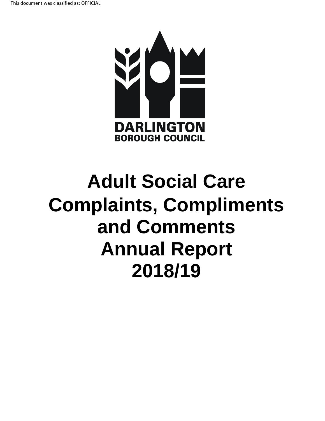

# **Adult Social Care Complaints, Compliments and Comments Annual Report 2018/19**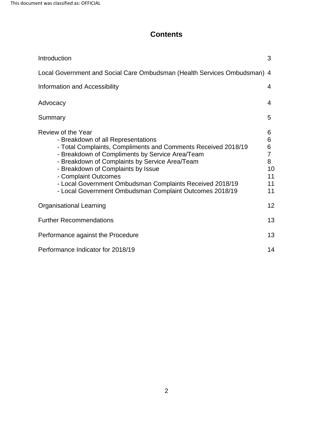# **Contents**

| Introduction                                                                                                                                                                                                                                                                                                                                                                                                        | 3                                                          |  |  |  |
|---------------------------------------------------------------------------------------------------------------------------------------------------------------------------------------------------------------------------------------------------------------------------------------------------------------------------------------------------------------------------------------------------------------------|------------------------------------------------------------|--|--|--|
| Local Government and Social Care Ombudsman (Health Services Ombudsman) 4                                                                                                                                                                                                                                                                                                                                            |                                                            |  |  |  |
| Information and Accessibility                                                                                                                                                                                                                                                                                                                                                                                       | 4                                                          |  |  |  |
| Advocacy                                                                                                                                                                                                                                                                                                                                                                                                            | 4                                                          |  |  |  |
| Summary                                                                                                                                                                                                                                                                                                                                                                                                             | 5                                                          |  |  |  |
| Review of the Year<br>- Breakdown of all Representations<br>- Total Complaints, Compliments and Comments Received 2018/19<br>- Breakdown of Compliments by Service Area/Team<br>- Breakdown of Complaints by Service Area/Team<br>- Breakdown of Complaints by Issue<br>- Complaint Outcomes<br>- Local Government Ombudsman Complaints Received 2018/19<br>- Local Government Ombudsman Complaint Outcomes 2018/19 | 6<br>6<br>6<br>$\overline{7}$<br>8<br>10<br>11<br>11<br>11 |  |  |  |
| <b>Organisational Learning</b>                                                                                                                                                                                                                                                                                                                                                                                      | 12                                                         |  |  |  |
| <b>Further Recommendations</b>                                                                                                                                                                                                                                                                                                                                                                                      | 13                                                         |  |  |  |
| Performance against the Procedure                                                                                                                                                                                                                                                                                                                                                                                   |                                                            |  |  |  |
| Performance Indicator for 2018/19                                                                                                                                                                                                                                                                                                                                                                                   |                                                            |  |  |  |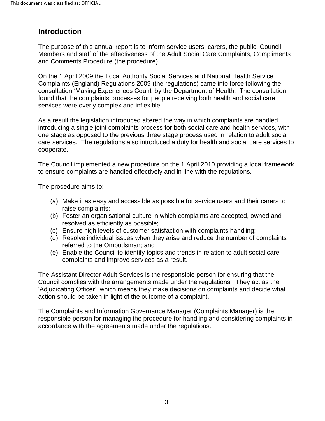# <span id="page-2-0"></span>**Introduction**

 Members and staff of the effectiveness of the Adult Social Care Complaints, Compliments and Comments Procedure (the procedure). The purpose of this annual report is to inform service users, carers, the public, Council

 On the 1 April 2009 the Local Authority Social Services and National Health Service Complaints (England) Regulations 2009 (the regulations) came into force following the consultation 'Making Experiences Count' by the Department of Health. The consultation found that the complaints processes for people receiving both health and social care services were overly complex and inflexible.

 As a result the legislation introduced altered the way in which complaints are handled care services. The regulations also introduced a duty for health and social care services to cooperate. introducing a single joint complaints process for both social care and health services, with one stage as opposed to the previous three stage process used in relation to adult social

to ensure complaints are handled effectively and in line with the regulations.<br>The procedure aims to: The Council implemented a new procedure on the 1 April 2010 providing a local framework

- (a) Make it as easy and accessible as possible for service users and their carers to raise complaints;
- (b) Foster an organisational culture in which complaints are accepted, owned and resolved as efficiently as possible;
- (c) Ensure high levels of customer satisfaction with complaints handling;
- (d) Resolve individual issues when they arise and reduce the number of complaints referred to the Ombudsman; and
- (e) Enable the Council to identify topics and trends in relation to adult social care complaints and improve services as a result.

 Council complies with the arrangements made under the regulations. They act as the 'Adjudicating Officer', which means they make decisions on complaints and decide what action should be taken in light of the outcome of a complaint. The Assistant Director Adult Services is the responsible person for ensuring that the

 The Complaints and Information Governance Manager (Complaints Manager) is the responsible person for managing the procedure for handling and considering complaints in accordance with the agreements made under the regulations.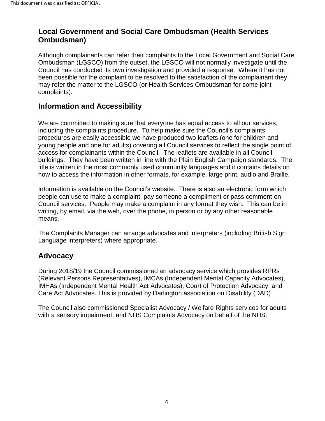# <span id="page-3-0"></span> **Local Government and Social Care Ombudsman (Health Services Ombudsman)**

 Ombudsman (LGSCO) from the outset, the LGSCO will not normally investigate until the Council has conducted its own investigation and provided a response. Where it has not been possible for the complaint to be resolved to the satisfaction of the complainant they may refer the matter to the LGSCO (or Health Services Ombudsman for some joint Although complainants can refer their complaints to the Local Government and Social Care complaints).

## **Information and Accessibility**

 procedures are easily accessible we have produced two leaflets (one for children and young people and one for adults) covering all Council services to reflect the single point of access for complainants within the Council. The leaflets are available in all Council buildings. They have been written in line with the Plain English Campaign standards. The We are committed to making sure that everyone has equal access to all our services, including the complaints procedure. To help make sure the Council's complaints title is written in the most commonly used community languages and it contains details on

how to access the information in other formats, for example, large print, audio and Braille.<br>Information is available on the Council's website. There is also an electronic form which people can use to make a complaint, pay someone a compliment or pass comment on Council services. People may make a complaint in any format they wish. This can be in writing, by email, via the web, over the phone, in person or by any other reasonable means.

The Complaints Manager can arrange advocates and interpreters (including British Sign Language interpreters) where appropriate.

# **Advocacy**

During 2018/19 the Council commissioned an advocacy service which provides RPRs (Relevant Persons Representatives), IMCAs (Independent Mental Capacity Advocates), IMHAs (Independent Mental Health Act Advocates), Court of Protection Advocacy, and Care Act Advocates. This is provided by Darlington association on Disability (DAD)

 with a sensory impairment, and NHS Complaints Advocacy on behalf of the NHS. The Council also commissioned Specialist Advocacy / Welfare Rights services for adults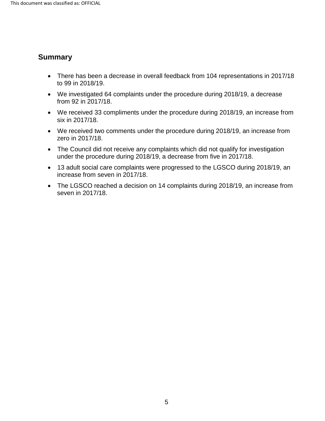## <span id="page-4-0"></span>**Summary**

- There has been a decrease in overall feedback from 104 representations in 2017/18 to 99 in 2018/19.
- We investigated 64 complaints under the procedure during 2018/19, a decrease from 92 in 2017/18.
- We received 33 compliments under the procedure during 2018/19, an increase from six in 2017/18.
- We received two comments under the procedure during 2018/19, an increase from zero in 2017/18.
- The Council did not receive any complaints which did not qualify for investigation under the procedure during 2018/19, a decrease from five in 2017/18.
- 13 adult social care complaints were progressed to the LGSCO during 2018/19, an increase from seven in 2017/18.
- The LGSCO reached a decision on 14 complaints during 2018/19, an increase from seven in 2017/18.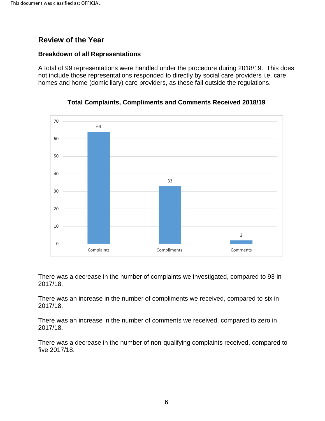# <span id="page-5-0"></span> **Review of the Year**

#### **Breakdown of all Representations**

 A total of 99 representations were handled under the procedure during 2018/19. This does not include those representations responded to directly by social care providers i.e. care homes and home (domiciliary) care providers, as these fall outside the regulations.





 There was a decrease in the number of complaints we investigated, compared to 93 in 2017/18.

 There was an increase in the number of compliments we received, compared to six in 2017/18.

There was an increase in the number of comments we received, compared to zero in 2017/18.

five 2017/18. There was a decrease in the number of non-qualifying complaints received, compared to five 2017/18.<br>
6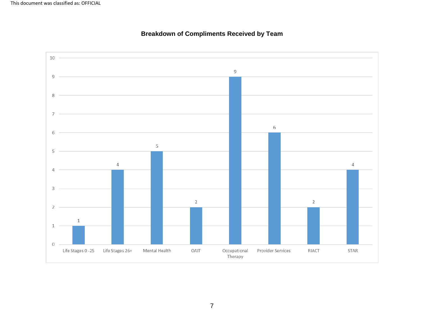<span id="page-6-0"></span>

#### **Breakdown of Compliments Received by Team**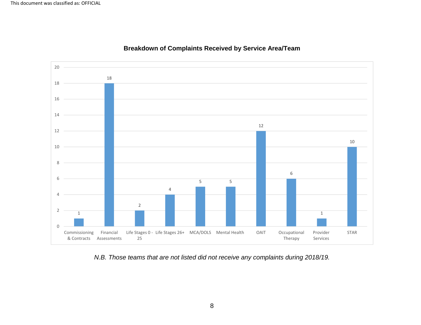<span id="page-7-0"></span>

#### **Breakdown of Complaints Received by Service Area/Team**

*N.B. Those teams that are not listed did not receive any complaints during 2018/19.*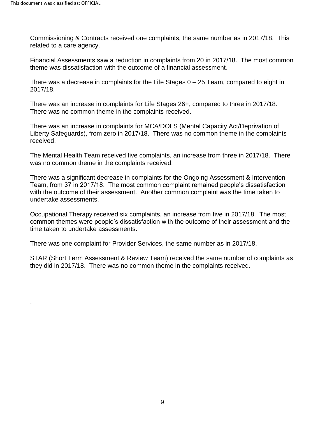.

 Commissioning & Contracts received one complaints, the same number as in 2017/18. This related to a care agency.

 Financial Assessments saw a reduction in complaints from 20 in 2017/18. The most common theme was dissatisfaction with the outcome of a financial assessment.

 There was a decrease in complaints for the Life Stages 0 – 25 Team, compared to eight in 2017/18.

2017/18.<br>There was an increase in complaints for Life Stages 26+, compared to three in 2017/18. There was no common theme in the complaints received.

 Liberty Safeguards), from zero in 2017/18. There was no common theme in the complaints There was an increase in complaints for MCA/DOLS (Mental Capacity Act/Deprivation of received.

The Mental Health Team received five complaints, an increase from three in 2017/18. There was no common theme in the complaints received.

 Team, from 37 in 2017/18. The most common complaint remained people's dissatisfaction with the outcome of their assessment. Another common complaint was the time taken to There was a significant decrease in complaints for the Ongoing Assessment & Intervention undertake assessments.

 Occupational Therapy received six complaints, an increase from five in 2017/18. The most common themes were people's dissatisfaction with the outcome of their assessment and the time taken to undertake assessments.

There was one complaint for Provider Services, the same number as in 2017/18.

 they did in 2017/18. There was no common theme in the complaints received. STAR (Short Term Assessment & Review Team) received the same number of complaints as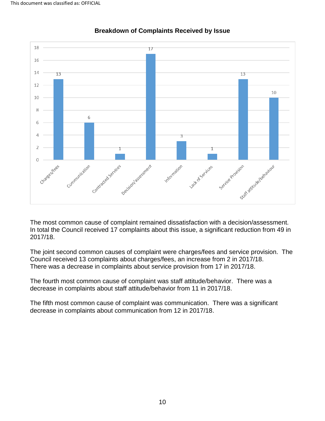<span id="page-9-0"></span>

#### **Breakdown of Complaints Received by Issue**

 The most common cause of complaint remained dissatisfaction with a decision/assessment. In total the Council received 17 complaints about this issue, a significant reduction from 49 in 2017/18.

2017/18.<br>The joint second common causes of complaint were charges/fees and service provision. The Council received 13 complaints about charges/fees, an increase from 2 in 2017/18. There was a decrease in complaints about service provision from 17 in 2017/18.

There was a decrease in complaints about service provision from 17 in 2017/18.<br>The fourth most common cause of complaint was staff attitude/behavior. There was a decrease in complaints about staff attitude/behavior from 11 in 2017/18.

 The fifth most common cause of complaint was communication. There was a significant decrease in complaints about communication from 12 in 2017/18.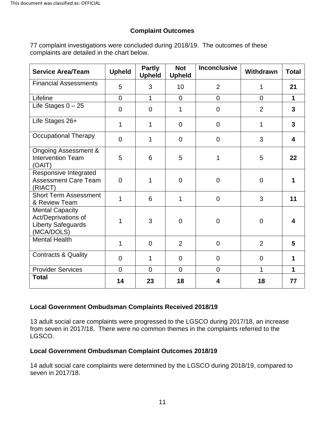#### **Complaint Outcomes**

 77 complaint investigations were concluded during 2018/19. The outcomes of these complaints are detailed in the chart below.

| <b>Service Area/Team</b>                                                                 | <b>Upheld</b>  | <b>Partly</b><br><b>Upheld</b> | <b>Not</b><br><b>Upheld</b> | <b>Inconclusive</b> | Withdrawn      | <b>Total</b>    |
|------------------------------------------------------------------------------------------|----------------|--------------------------------|-----------------------------|---------------------|----------------|-----------------|
| <b>Financial Assessments</b>                                                             | 5              | 3                              | 10                          | $\overline{2}$      | 1              | 21              |
| Lifeline                                                                                 | $\overline{0}$ | $\mathbf{1}$                   | $\overline{0}$              | $\overline{0}$      | $\overline{0}$ | 1               |
| Life Stages $0 - 25$                                                                     | $\overline{0}$ | $\mathbf 0$                    | 1                           | 0                   | $\overline{2}$ | $\mathbf{3}$    |
| Life Stages 26+                                                                          | 1              | 1                              | $\Omega$                    | 0                   | 1              | $\mathbf{3}$    |
| <b>Occupational Therapy</b>                                                              | $\mathbf 0$    | 1                              | $\mathbf 0$                 | 0                   | 3              | 4               |
| <b>Ongoing Assessment &amp;</b><br><b>Intervention Team</b><br>(OAIT)                    | 5              | 6                              | 5                           | 1                   | 5              | 22              |
| Responsive Integrated<br><b>Assessment Care Team</b><br>(RIACT)                          | $\Omega$       | 1                              | $\Omega$                    | $\overline{0}$      | $\overline{0}$ | 1               |
| <b>Short Term Assessment</b><br>& Review Team                                            | 1              | 6                              | 1                           | $\overline{0}$      | 3              | 11              |
| <b>Mental Capacity</b><br>Act/Deprivations of<br><b>Liberty Safeguards</b><br>(MCA/DOLS) | 1              | 3                              | $\Omega$                    | $\overline{0}$      | $\overline{0}$ | 4               |
| <b>Mental Health</b>                                                                     | 1              | $\overline{0}$                 | $\overline{2}$              | $\overline{0}$      | $\overline{2}$ | $5\phantom{.0}$ |
| <b>Contracts &amp; Quality</b>                                                           | $\Omega$       | 1                              | $\Omega$                    | $\overline{0}$      | $\overline{0}$ | 1               |
| <b>Provider Services</b>                                                                 | $\overline{0}$ | $\Omega$                       | $\Omega$                    | $\overline{0}$      | 1              | 1               |
| <b>Total</b>                                                                             | 14             | 23                             | 18                          | 4                   | 18             | 77              |

#### **Local Government Ombudsman Complaints Received 2018/19**

 13 adult social care complaints were progressed to the LGSCO during 2017/18, an increase from seven in 2017/18. There were no common themes in the complaints referred to the LGSCO.

#### **Local Government Ombudsman Complaint Outcomes 2018/19**

 14 adult social care complaints were determined by the LGSCO during 2018/19, compared to seven in 2017/18. seven in 2017/18.<br>11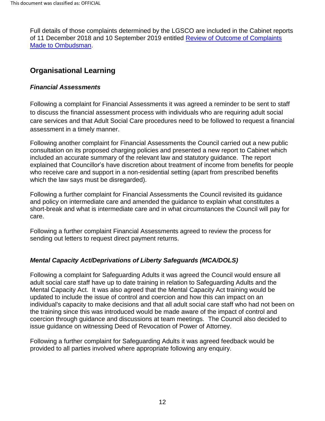<span id="page-11-0"></span> Full details of those complaints determined by the LGSCO are included in the Cabinet reports of 11 December 2018 and 10 September 2019 entitled **Review of Outcome of Complaints** [Made to Ombudsman.](https://democracy.darlington.gov.uk/ieListMeetings.aspx?CommitteeId=137)

# **Organisational Learning**

#### *Financial Assessments*

Following a complaint for Financial Assessments it was agreed a reminder to be sent to staff to discuss the financial assessment process with individuals who are requiring adult social care services and that Adult Social Care procedures need to be followed to request a financial assessment in a timely manner.

 included an accurate summary of the relevant law and statutory guidance. The report Following another complaint for Financial Assessments the Council carried out a new public consultation on its proposed charging policies and presented a new report to Cabinet which explained that Councillor's have discretion about treatment of income from benefits for people who receive care and support in a non-residential setting (apart from prescribed benefits which the law says must be disregarded).

Following a further complaint for Financial Assessments the Council revisited its guidance and policy on intermediate care and amended the guidance to explain what constitutes a short-break and what is intermediate care and in what circumstances the Council will pay for care.

Following a further complaint Financial Assessments agreed to review the process for sending out letters to request direct payment returns.

## *Mental Capacity Act/Deprivations of Liberty Safeguards (MCA/DOLS)*

 adult social care staff have up to date training in relation to Safeguarding Adults and the Mental Capacity Act. It was also agreed that the Mental Capacity Act training would be updated to include the issue of control and coercion and how this can impact on an the training since this was introduced would be made aware of the impact of control and coercion through guidance and discussions at team meetings. The Council also decided to Following a complaint for Safeguarding Adults it was agreed the Council would ensure all individual's capacity to make decisions and that all adult social care staff who had not been on issue guidance on witnessing Deed of Revocation of Power of Attorney.

Following a further complaint for Safeguarding Adults it was agreed feedback would be provided to all parties involved where appropriate following any enquiry.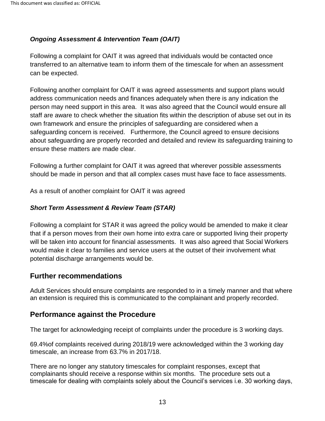### <span id="page-12-0"></span> *Ongoing Assessment & Intervention Team (OAIT)*

 Following a complaint for OAIT it was agreed that individuals would be contacted once transferred to an alternative team to inform them of the timescale for when an assessment can be expected.

 person may need support in this area. It was also agreed that the Council would ensure all own framework and ensure the principles of safeguarding are considered when a safeguarding concern is received. Furthermore, the Council agreed to ensure decisions Following another complaint for OAIT it was agreed assessments and support plans would address communication needs and finances adequately when there is any indication the staff are aware to check whether the situation fits within the description of abuse set out in its about safeguarding are properly recorded and detailed and review its safeguarding training to ensure these matters are made clear.

 should be made in person and that all complex cases must have face to face assessments. Following a further complaint for OAIT it was agreed that wherever possible assessments

As a result of another complaint for OAIT it was agreed

#### *Short Term Assessment & Review Team (STAR)*

 will be taken into account for financial assessments. It was also agreed that Social Workers Following a complaint for STAR it was agreed the policy would be amended to make it clear that if a person moves from their own home into extra care or supported living their property would make it clear to families and service users at the outset of their involvement what potential discharge arrangements would be.

## **Further recommendations**

Adult Services should ensure complaints are responded to in a timely manner and that where an extension is required this is communicated to the complainant and properly recorded.

## **Performance against the Procedure**

The target for acknowledging receipt of complaints under the procedure is 3 working days.

 timescale, an increase from 63.7% in 2017/18. 69.4%of complaints received during 2018/19 were acknowledged within the 3 working day

 complainants should receive a response within six months. The procedure sets out a There are no longer any statutory timescales for complaint responses, except that timescale for dealing with complaints solely about the Council's services i.e. 30 working days,